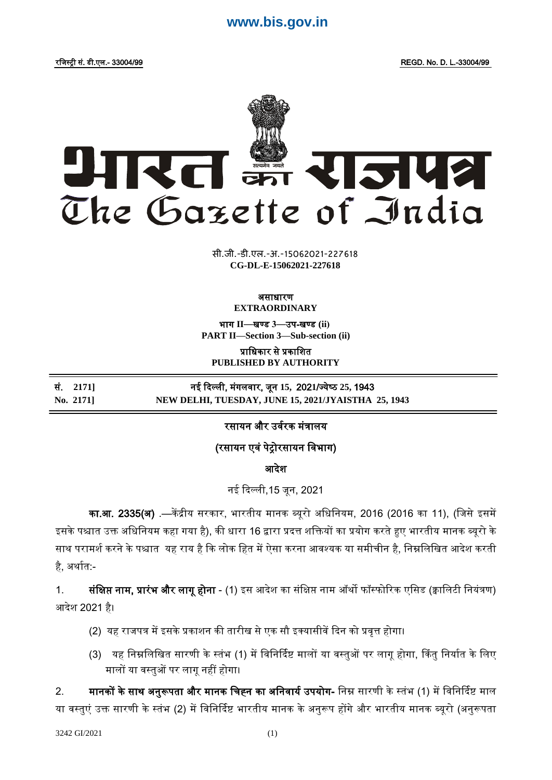# **[www.bis.gov.in](https://bis.gov.in)**



**xxxGIDHxxx xxx**GIDE**xxx CG-DL-E-15062021-227618** सी.जी.-डी.एल.-अ.-15062021-227618

#### असाधारण **EXTRAORDINARY**

भाग **II**—खण् ड **3**—उप-खण् ड **(ii) PART II—Section 3—Sub-section (ii)**

प्राजधकार से प्रकाजित **PUBLISHED BY AUTHORITY**

सं. **2171]** नई ददल्ली, मंगलर्ार, िून **15,** 202**1**/ज् येष् ठ **25,** 1943 **No. 2171] NEW DELHI, TUESDAY, JUNE 15, 2021/JYAISTHA 25, 1943**

### रसायन और उर्वरक मंत्रालय

## (रसायन एर्ं पेरोरसायन जर्भाग)

आदेश

नई ददल्ली,15 िून, 2021

का.<mark>आ. 2335(अ)</mark> .—केंद्रीय सरकार, भारतीय मानक ब्यूरो अधिनियम, 2016 (2016 का 11), (जिसे इसमें इसके पश्चात उक्त अधिनियम कहा गया है), की धारा 16 द्वारा प्रदत्त शक्तियों का प्रयोग करते हुए भारतीय मानक ब्यूरो के साथ परामर्श करने के पश्चात यह राय है कि लोक हित में ऐसा करना आवश्यक या समीचीन है, निम्नलिखित आदेश करती है. अर्थात:-

1. सं**क्षिप्त नाम, प्रारंभ और लागू होना** - (1) इस आदेश का संक्षिप्त नाम ऑर्थो फॉस्फोरिक एसिड (क्वालिटी नियंत्रण) आदेश 2021 है।

- (2) यह राजपत्र में इसके प्रकाशन की तारीख से एक सौ इक्यासीवें दिन को प्रवृत्त होगा।
- (3) यह निम्नलिखित सारणी के स्तंभ (1) में विनिर्दिष्ट मालों या वस्तुओं पर लागू होगा, किंतु निर्यात के लिए मालों या र्स्ट्तुओं पर लागूनहीं होगा।

2. मानकों के साथ अनुरूपता और मानक चिह्न का अनिवार्य उपयोग- निम्न सारणी के स्तंभ (1) में विनिर्दिष्ट माल या वस्तुएं उक्त सारणी के स्तंभ (2) में विनिर्दिष्ट भारतीय मानक के अनुरूप होंगे और भारतीय मानक ब्यूरो (अनुरूपता